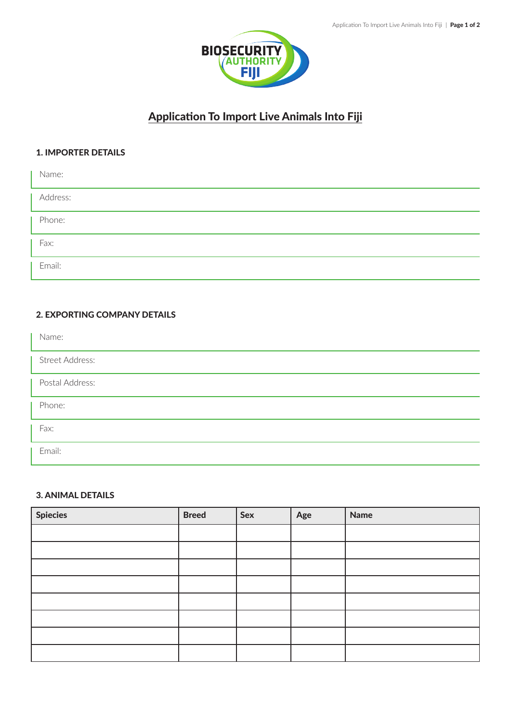

# Application To Import Live Animals Into Fiji

## 1. IMPORTER DETAILS

| Name:    |  |
|----------|--|
| Address: |  |
| Phone:   |  |
| Fax:     |  |
| Email:   |  |

# 2. EXPORTING COMPANY DETAILS

| Name:           |
|-----------------|
| Street Address: |
| Postal Address: |
| Phone:          |
| Fax:            |
| Email:          |

# 3. ANIMAL DETAILS

| <b>Spiecies</b> | <b>Breed</b> | Sex | Age | <b>Name</b> |
|-----------------|--------------|-----|-----|-------------|
|                 |              |     |     |             |
|                 |              |     |     |             |
|                 |              |     |     |             |
|                 |              |     |     |             |
|                 |              |     |     |             |
|                 |              |     |     |             |
|                 |              |     |     |             |
|                 |              |     |     |             |